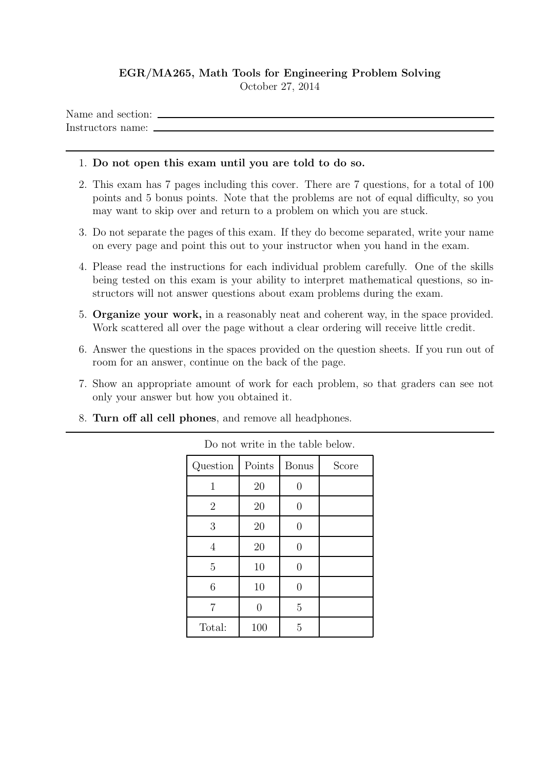## EGR/MA265, Math Tools for Engineering Problem Solving

October 27, 2014

Name and section:  $\overline{\phantom{a}}$ Instructors name:

## 1. Do not open this exam until you are told to do so.

- 2. This exam has 7 pages including this cover. There are 7 questions, for a total of 100 points and 5 bonus points. Note that the problems are not of equal difficulty, so you may want to skip over and return to a problem on which you are stuck.
- 3. Do not separate the pages of this exam. If they do become separated, write your name on every page and point this out to your instructor when you hand in the exam.
- 4. Please read the instructions for each individual problem carefully. One of the skills being tested on this exam is your ability to interpret mathematical questions, so instructors will not answer questions about exam problems during the exam.
- 5. Organize your work, in a reasonably neat and coherent way, in the space provided. Work scattered all over the page without a clear ordering will receive little credit.
- 6. Answer the questions in the spaces provided on the question sheets. If you run out of room for an answer, continue on the back of the page.
- 7. Show an appropriate amount of work for each problem, so that graders can see not only your answer but how you obtained it.
- 8. Turn off all cell phones, and remove all headphones.

| Question       | Points | <b>Bonus</b> | Score |
|----------------|--------|--------------|-------|
| 1              | 20     |              |       |
| $\overline{2}$ | 20     |              |       |
| 3              | 20     |              |       |
| 4              | 20     |              |       |
| 5              | 10     | $\mathbf{0}$ |       |
| 6              | 10     | 0            |       |
| 7              |        | 5            |       |
| Total:         | 100    | 5            |       |

Do not write in the table below.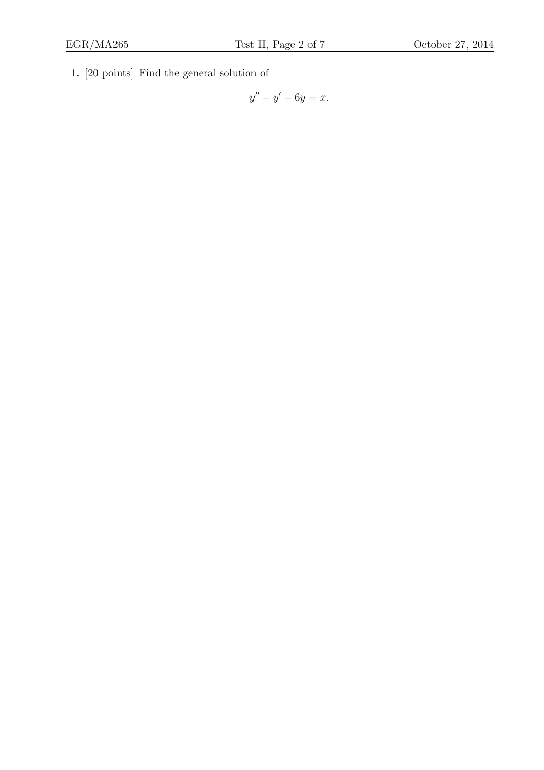1. [20 points] Find the general solution of

$$
y'' - y' - 6y = x.
$$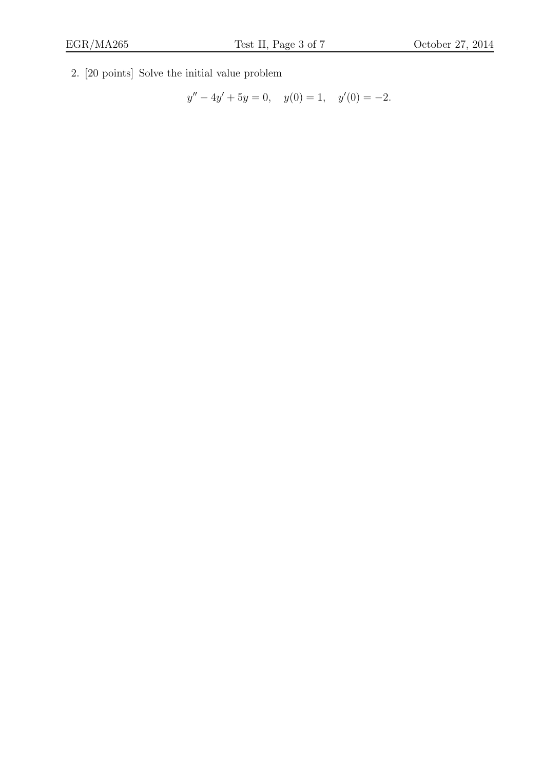2. [20 points] Solve the initial value problem

$$
y'' - 4y' + 5y = 0, \quad y(0) = 1, \quad y'(0) = -2.
$$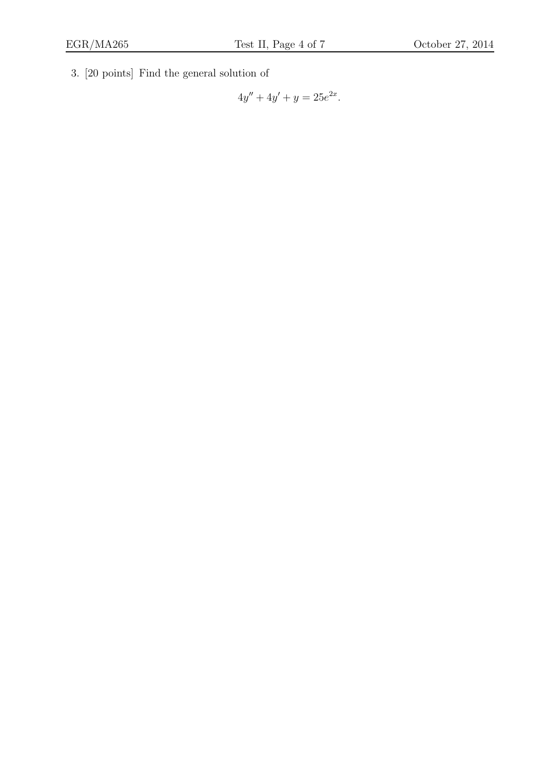3. [20 points] Find the general solution of

$$
4y'' + 4y' + y = 25e^{2x}.
$$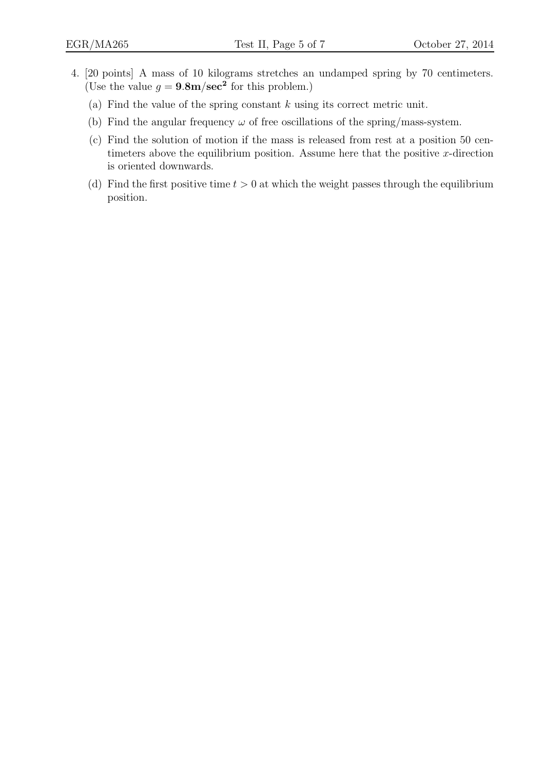- 4. [20 points] A mass of 10 kilograms stretches an undamped spring by 70 centimeters. (Use the value  $g = 9.8 \text{m/sec}^2$  for this problem.)
	- (a) Find the value of the spring constant  $k$  using its correct metric unit.
	- (b) Find the angular frequency  $\omega$  of free oscillations of the spring/mass-system.
	- (c) Find the solution of motion if the mass is released from rest at a position 50 centimeters above the equilibrium position. Assume here that the positive  $x$ -direction is oriented downwards.
	- (d) Find the first positive time  $t > 0$  at which the weight passes through the equilibrium position.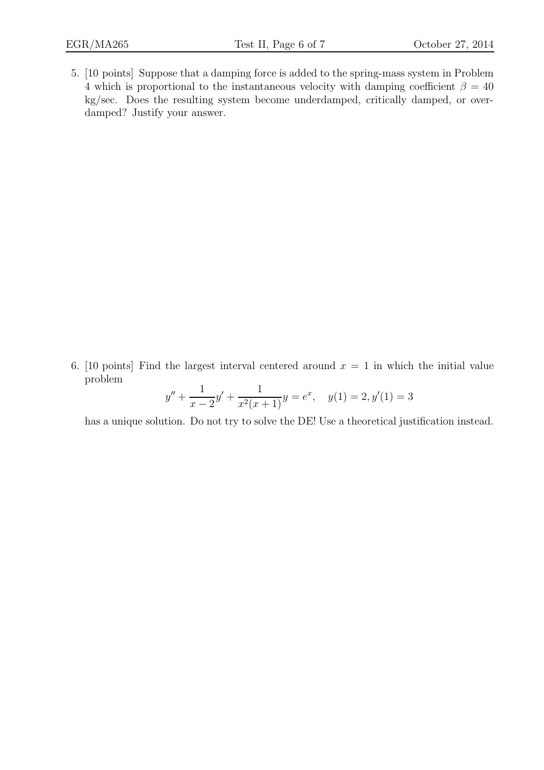5. [10 points] Suppose that a damping force is added to the spring-mass system in Problem 4 which is proportional to the instantaneous velocity with damping coefficient  $\beta = 40$ kg/sec. Does the resulting system become underdamped, critically damped, or overdamped? Justify your answer.

6. [10 points] Find the largest interval centered around  $x = 1$  in which the initial value problem  $\overline{1}$  $\overline{1}$ 

$$
y'' + \frac{1}{x - 2}y' + \frac{1}{x^2(x + 1)}y = e^x, \quad y(1) = 2, y'(1) = 3
$$

has a unique solution. Do not try to solve the DE! Use a theoretical justification instead.